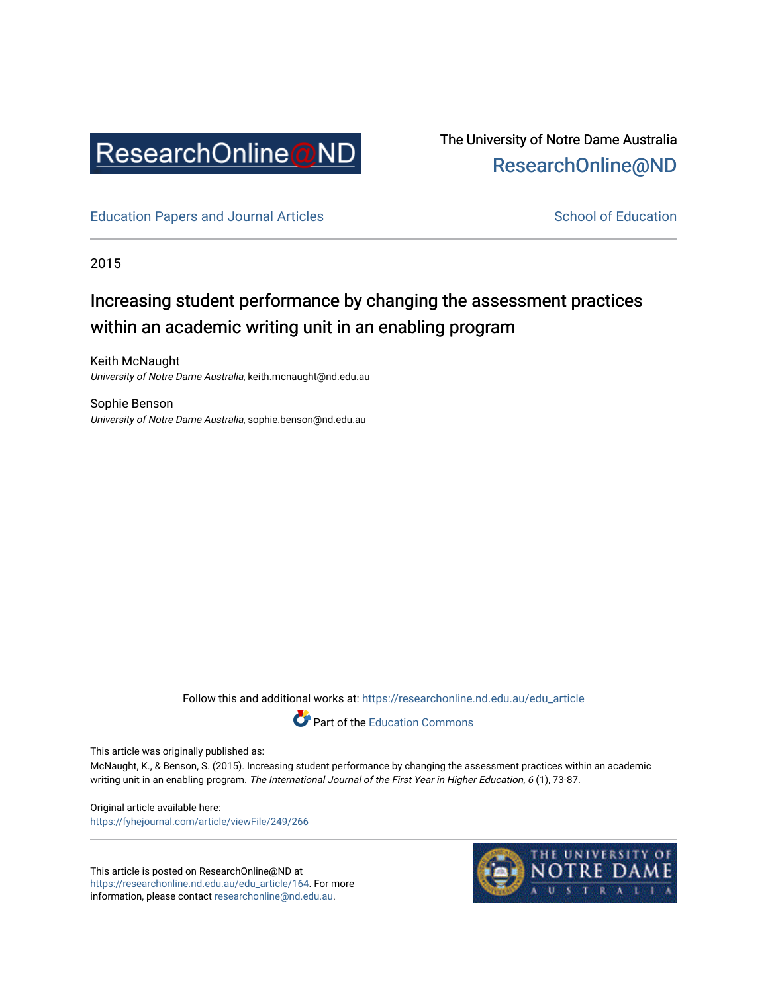

# The University of Notre Dame Australia [ResearchOnline@ND](https://researchonline.nd.edu.au/)

[Education Papers and Journal Articles](https://researchonline.nd.edu.au/edu_article) [School of Education](https://researchonline.nd.edu.au/edu) School of Education

2015

# Increasing student performance by changing the assessment practices within an academic writing unit in an enabling program

Keith McNaught University of Notre Dame Australia, keith.mcnaught@nd.edu.au

Sophie Benson University of Notre Dame Australia, sophie.benson@nd.edu.au

Follow this and additional works at: [https://researchonline.nd.edu.au/edu\\_article](https://researchonline.nd.edu.au/edu_article?utm_source=researchonline.nd.edu.au%2Fedu_article%2F164&utm_medium=PDF&utm_campaign=PDFCoverPages)



This article was originally published as:

McNaught, K., & Benson, S. (2015). Increasing student performance by changing the assessment practices within an academic writing unit in an enabling program. The International Journal of the First Year in Higher Education, 6 (1), 73-87.

Original article available here: <https://fyhejournal.com/article/viewFile/249/266>

This article is posted on ResearchOnline@ND at [https://researchonline.nd.edu.au/edu\\_article/164](https://researchonline.nd.edu.au/edu_article/164). For more information, please contact [researchonline@nd.edu.au.](mailto:researchonline@nd.edu.au)

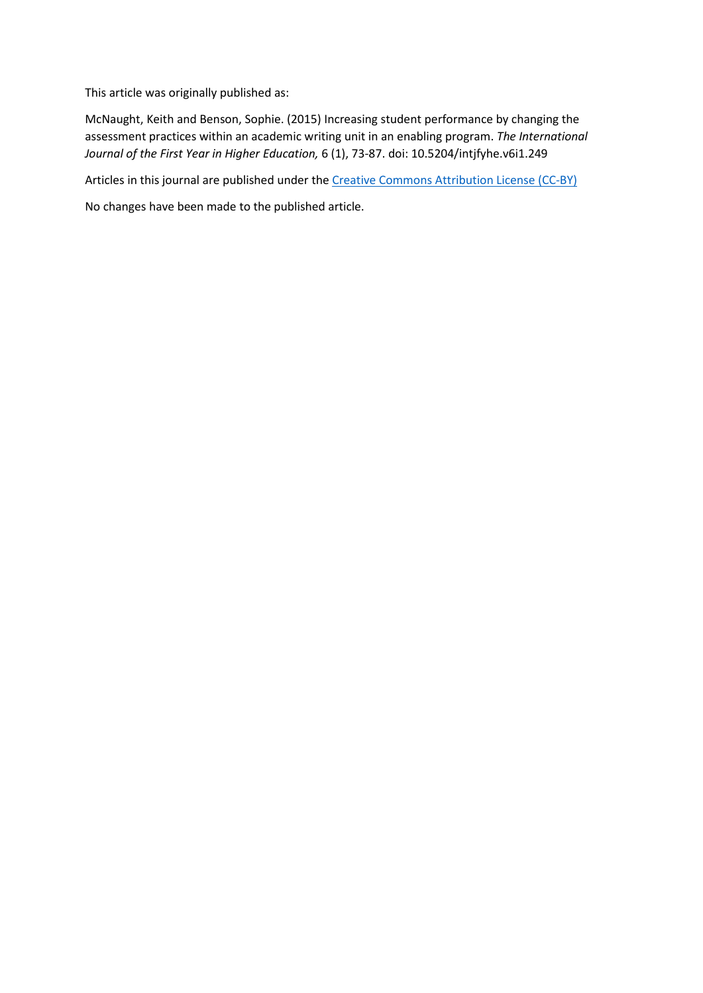This article was originally published as:

McNaught, Keith and Benson, Sophie. (2015) Increasing student performance by changing the assessment practices within an academic writing unit in an enabling program. *The International Journal of the First Year in Higher Education,* 6 (1), 73-87. doi: 10.5204/intjfyhe.v6i1.249

Articles in this journal are published under the [Creative Commons Attribution License \(CC-BY\)](https://creativecommons.org/licenses/by/4.0/)

No changes have been made to the published article.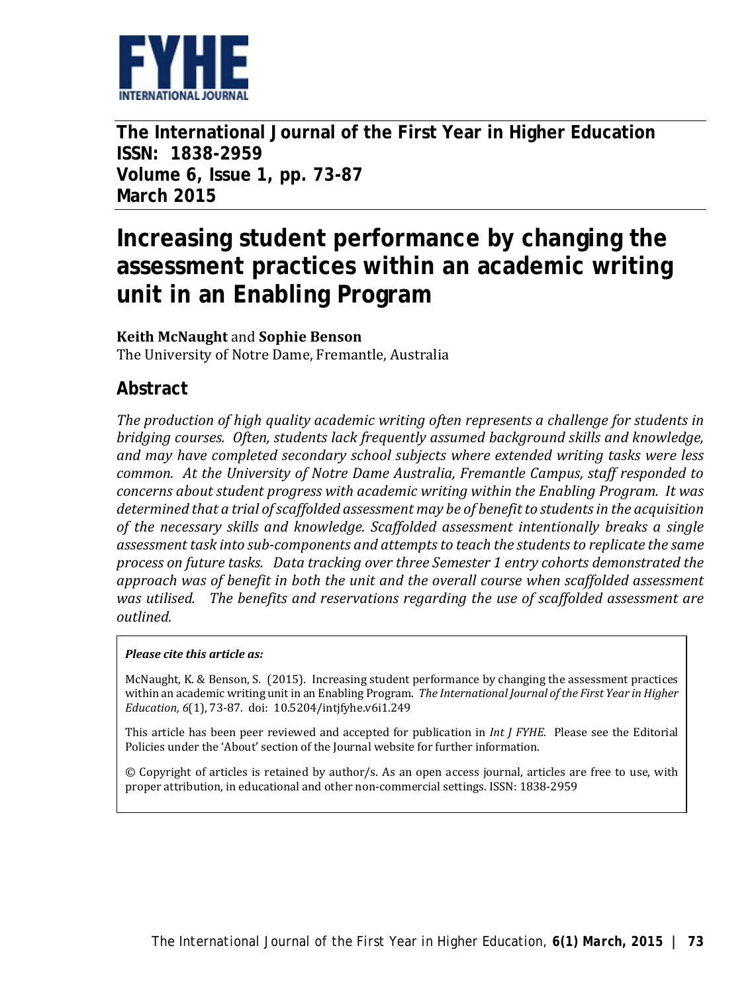

**The International Journal of the First Year in Higher Education ISSN: 1838-2959 Volume 6, Issue 1, pp. 73-87 March 2015**

# **Increasing student performance by changing the assessment practices within an academic writing unit in an Enabling Program**

#### **Keith McNaught** and **Sophie Benson**

The University of Notre Dame, Fremantle, Australia

# **Abstract**

*The production of high quality academic writing often represents a challenge for students in bridging courses. Often, students lack frequently assumed background skills and knowledge, and may have completed secondary school subjects where extended writing tasks were less common. At the University of Notre Dame Australia, Fremantle Campus, staff responded to concerns about student progress with academic writing within the Enabling Program. It was determined that a trial of scaffolded assessment may be of benefit to students in the acquisition of the necessary skills and knowledge. Scaffolded assessment intentionally breaks a single assessment task into sub-components and attempts to teach the students to replicate the same process on future tasks. Data tracking over three Semester 1 entry cohorts demonstrated the approach was of benefit in both the unit and the overall course when scaffolded assessment was utilised. The benefits and reservations regarding the use of scaffolded assessment are outlined.*

#### *Please cite this article as:*

McNaught, K. & Benson, S. (2015). Increasing student performance by changing the assessment practices within an academic writing unit in an Enabling Program. *The International Journal of the First Year in Higher Education, 6*(1), 73-87. doi: 10.5204/intjfyhe.v6i1.249

This article has been peer reviewed and accepted for publication in *Int J FYHE.* Please see the Editorial Policies under the 'About' section of the Journal website for further information.

© Copyright of articles is retained by author/s. As an open access journal, articles are free to use, with proper attribution, in educational and other non-commercial settings. ISSN: 1838-2959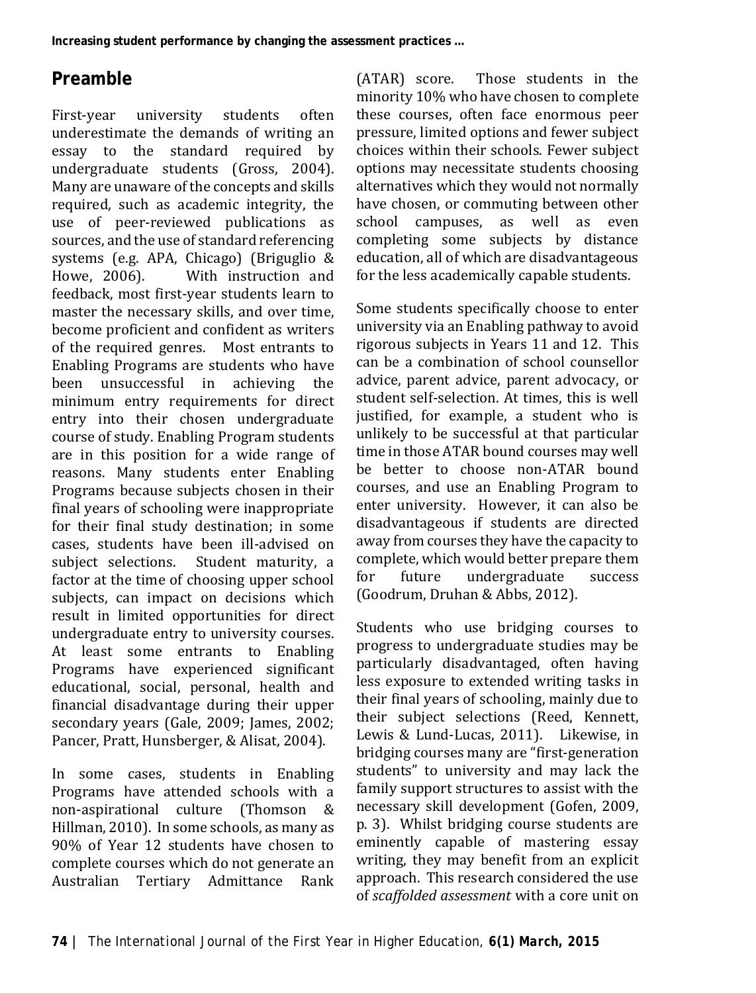# **Preamble**

First-year university students often underestimate the demands of writing an essay to the standard required by undergraduate students (Gross, 2004). Many are unaware of the concepts and skills required, such as academic integrity, the use of peer-reviewed publications as sources, and the use of standard referencing systems (e.g. APA, Chicago) (Briguglio &<br>Howe, 2006). With instruction and With instruction and feedback, most first-year students learn to master the necessary skills, and over time, become proficient and confident as writers of the required genres. Most entrants to Enabling Programs are students who have been unsuccessful in achieving the minimum entry requirements for direct entry into their chosen undergraduate course of study. Enabling Program students are in this position for a wide range of reasons. Many students enter Enabling Programs because subjects chosen in their final years of schooling were inappropriate for their final study destination; in some cases, students have been ill-advised on Student maturity, a factor at the time of choosing upper school subjects, can impact on decisions which result in limited opportunities for direct undergraduate entry to university courses. At least some entrants to Enabling Programs have experienced significant educational, social, personal, health and financial disadvantage during their upper secondary years (Gale, 2009; James, 2002; Pancer, Pratt, Hunsberger, & Alisat, 2004).

In some cases, students in Enabling Programs have attended schools with a non-aspirational culture (Thomson & Hillman, 2010). In some schools, as many as 90% of Year 12 students have chosen to complete courses which do not generate an Australian Tertiary Admittance Rank (ATAR) score. Those students in the minority 10% who have chosen to complete these courses, often face enormous peer pressure, limited options and fewer subject choices within their schools. Fewer subject options may necessitate students choosing alternatives which they would not normally have chosen, or commuting between other school campuses, as well as even completing some subjects by distance education, all of which are disadvantageous for the less academically capable students.

Some students specifically choose to enter university via an Enabling pathway to avoid rigorous subjects in Years 11 and 12. This can be a combination of school counsellor advice, parent advice, parent advocacy, or student self-selection. At times, this is well justified, for example, a student who is unlikely to be successful at that particular time in those ATAR bound courses may well be better to choose non-ATAR bound courses, and use an Enabling Program to enter university. However, it can also be disadvantageous if students are directed away from courses they have the capacity to complete, which would better prepare them<br>for future undergraduate success undergraduate (Goodrum, Druhan & Abbs, 2012).

Students who use bridging courses to progress to undergraduate studies may be particularly disadvantaged, often having less exposure to extended writing tasks in their final years of schooling, mainly due to their subject selections (Reed, Kennett, Lewis & Lund-Lucas, 2011). Likewise, in bridging courses many are "first-generation students" to university and may lack the family support structures to assist with the necessary skill development (Gofen, 2009, p. 3). Whilst bridging course students are eminently capable of mastering essay writing, they may benefit from an explicit approach. This research considered the use of *scaffolded assessment* with a core unit on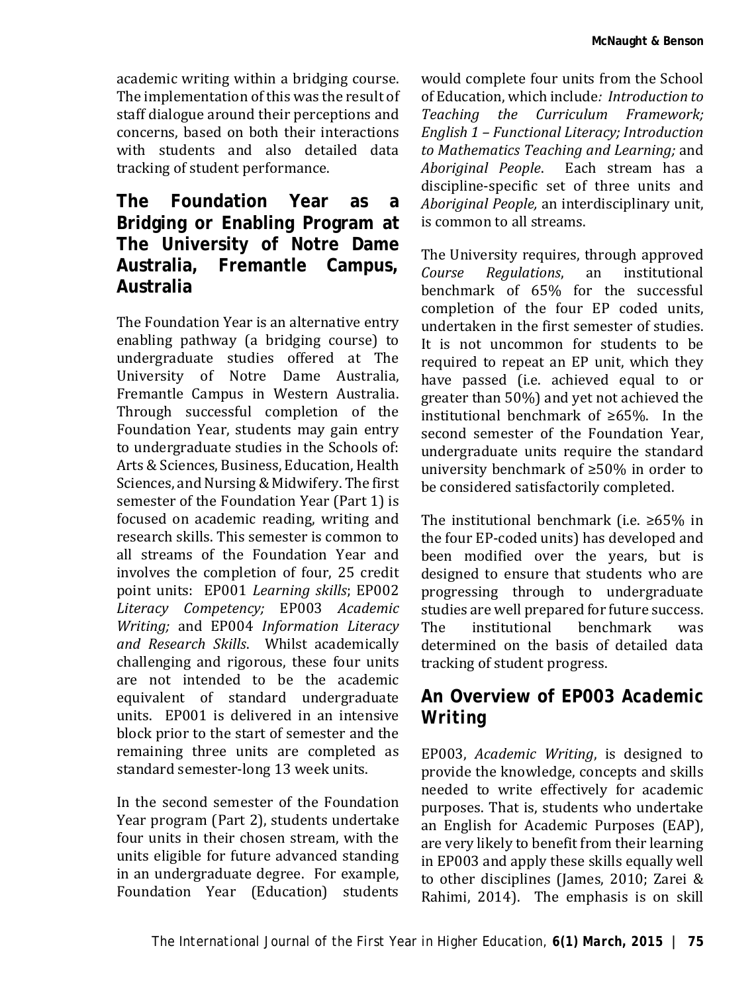academic writing within a bridging course. The implementation of this was the result of staff dialogue around their perceptions and concerns, based on both their interactions with students and also detailed data tracking of student performance.

### **The Foundation Year as a Bridging or Enabling Program at The University of Notre Dame Australia, Fremantle Campus, Australia**

The Foundation Year is an alternative entry enabling pathway (a bridging course) to undergraduate studies offered at The University of Notre Dame Australia, Fremantle Campus in Western Australia. Through successful completion of the Foundation Year, students may gain entry to undergraduate studies in the Schools of: Arts & Sciences, Business, Education, Health Sciences, and Nursing & Midwifery. The first semester of the Foundation Year (Part 1) is focused on academic reading, writing and research skills. This semester is common to all streams of the Foundation Year and involves the completion of four, 25 credit point units: EP001 *Learning skills*; EP002 *Literacy Competency;* EP003 *Academic Writing;* and EP004 *Information Literacy and Research Skills*. Whilst academically challenging and rigorous, these four units are not intended to be the academic equivalent of standard undergraduate units. EP001 is delivered in an intensive block prior to the start of semester and the remaining three units are completed as standard semester-long 13 week units.

In the second semester of the Foundation Year program (Part 2), students undertake four units in their chosen stream, with the units eligible for future advanced standing in an undergraduate degree. For example, Foundation Year (Education) students

would complete four units from the School of Education, which include*: Introduction to Teaching the Curriculum Framework; English 1 – Functional Literacy; Introduction to Mathematics Teaching and Learning;* and *Aboriginal People*. Each stream has a discipline-specific set of three units and *Aboriginal People,* an interdisciplinary unit, is common to all streams.

The University requires, through approved<br>
Course Regulations. an institutional *Regulations*, benchmark of 65% for the successful completion of the four EP coded units, undertaken in the first semester of studies. It is not uncommon for students to be required to repeat an EP unit, which they have passed (i.e. achieved equal to or greater than 50%) and yet not achieved the institutional benchmark of ≥65%. In the second semester of the Foundation Year, undergraduate units require the standard university benchmark of ≥50% in order to be considered satisfactorily completed.

The institutional benchmark (i.e. ≥65% in the four EP-coded units) has developed and been modified over the years, but is designed to ensure that students who are progressing through to undergraduate studies are well prepared for future success.<br>The institutional benchmark was The institutional benchmark was determined on the basis of detailed data tracking of student progress.

### **An Overview of EP003** *Academic Writing*

EP003, *Academic Writing*, is designed to provide the knowledge, concepts and skills needed to write effectively for academic purposes. That is, students who undertake an English for Academic Purposes (EAP), are very likely to benefit from their learning in EP003 and apply these skills equally well to other disciplines (James, 2010; Zarei & Rahimi, 2014). The emphasis is on skill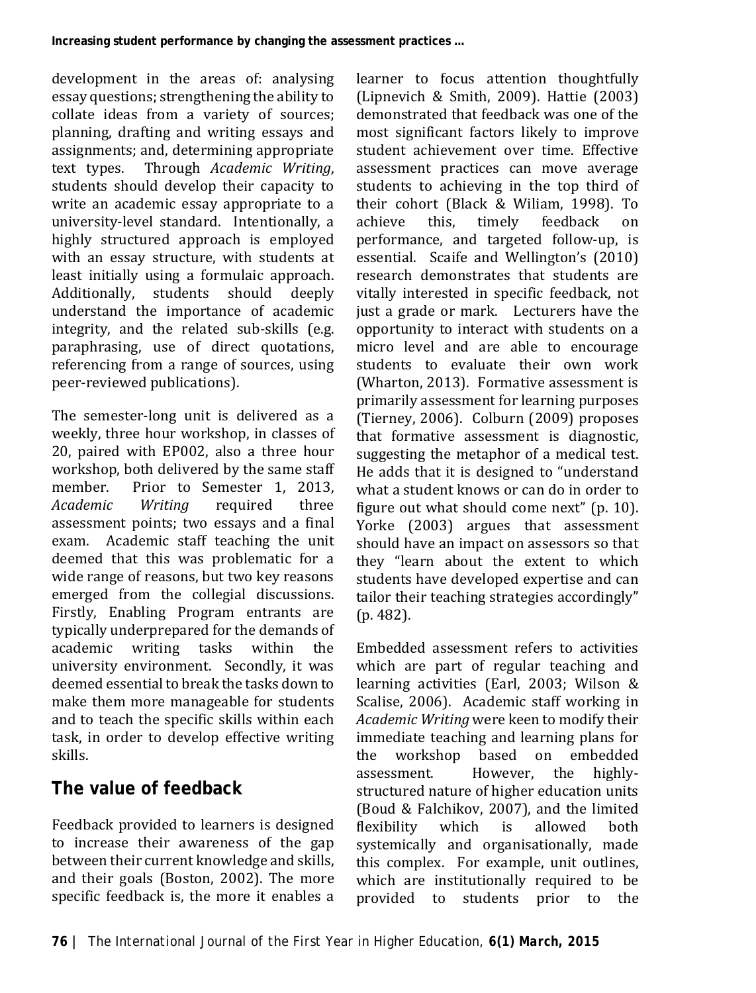development in the areas of: analysing essay questions; strengthening the ability to collate ideas from a variety of sources; planning, drafting and writing essays and assignments; and, determining appropriate<br>text types. Through Academic Writina. Through *Academic Writing*, students should develop their capacity to write an academic essay appropriate to a university-level standard. Intentionally, a highly structured approach is employed with an essay structure, with students at least initially using a formulaic approach.<br>Additionally, students should deeply students should understand the importance of academic integrity, and the related sub-skills (e.g. paraphrasing, use of direct quotations, referencing from a range of sources, using peer-reviewed publications).

The semester-long unit is delivered as a weekly, three hour workshop, in classes of 20, paired with EP002, also a three hour workshop, both delivered by the same staff<br>member Prior to Semester 1 2013 member. Prior to Semester 1, 2013,<br>Academic Writina required three required assessment points; two essays and a final exam. Academic staff teaching the unit deemed that this was problematic for a wide range of reasons, but two key reasons emerged from the collegial discussions. Firstly, Enabling Program entrants are typically underprepared for the demands of<br>academic writing tasks within the academic writing tasks university environment. Secondly, it was deemed essential to break the tasks down to make them more manageable for students and to teach the specific skills within each task, in order to develop effective writing skills.

# **The value of feedback**

Feedback provided to learners is designed to increase their awareness of the gap between their current knowledge and skills, and their goals (Boston, 2002). The more specific feedback is, the more it enables a

learner to focus attention thoughtfully (Lipnevich & Smith, 2009). Hattie (2003) demonstrated that feedback was one of the most significant factors likely to improve student achievement over time. Effective assessment practices can move average students to achieving in the top third of their cohort (Black & Wiliam, 1998). To achieve this, timely feedback on performance, and targeted follow-up, is essential. Scaife and Wellington's (2010) research demonstrates that students are vitally interested in specific feedback, not just a grade or mark. Lecturers have the opportunity to interact with students on a micro level and are able to encourage students to evaluate their own work (Wharton, 2013). Formative assessment is primarily assessment for learning purposes (Tierney, 2006). Colburn (2009) proposes that formative assessment is diagnostic, suggesting the metaphor of a medical test. He adds that it is designed to "understand what a student knows or can do in order to figure out what should come next" (p. 10). Yorke (2003) argues that assessment should have an impact on assessors so that they "learn about the extent to which students have developed expertise and can tailor their teaching strategies accordingly" (p. 482).

Embedded assessment refers to activities which are part of regular teaching and learning activities (Earl, 2003; Wilson & Scalise, 2006). Academic staff working in *Academic Writing* were keen to modify their immediate teaching and learning plans for<br>the workshop based on embedded workshop based on embedded<br>sment. However, the highlyassessment. structured nature of higher education units (Boud & Falchikov, 2007), and the limited<br>flexibility which is allowed both flexibility which is allowed both systemically and organisationally, made this complex. For example, unit outlines, which are institutionally required to be provided to students prior to the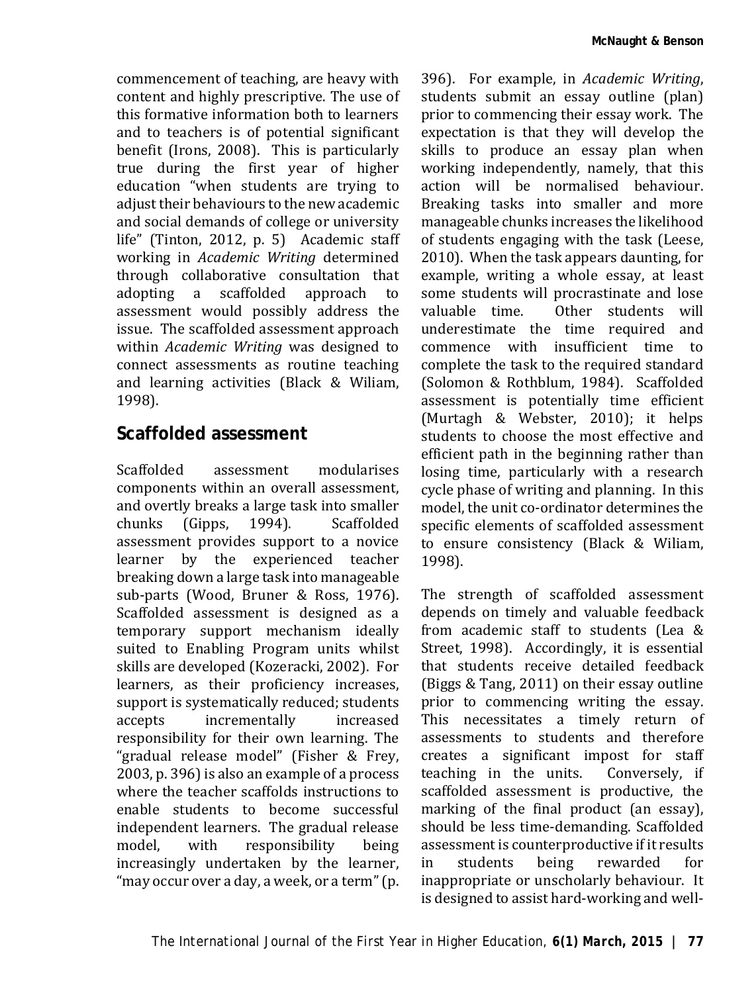commencement of teaching, are heavy with content and highly prescriptive. The use of this formative information both to learners and to teachers is of potential significant benefit (Irons, 2008). This is particularly true during the first year of higher education "when students are trying to adjust their behaviours to the new academic and social demands of college or university life" (Tinton, 2012, p. 5) Academic staff working in *Academic Writing* determined through collaborative consultation that<br>adopting a scaffolded approach to adopting a scaffolded assessment would possibly address the issue. The scaffolded assessment approach within *Academic Writing* was designed to connect assessments as routine teaching and learning activities (Black & Wiliam, 1998).

#### **Scaffolded assessment**

Scaffolded assessment modularises components within an overall assessment, and overtly breaks a large task into smaller<br>chunks (Gipps, 1994). Scaffolded (Gipps, assessment provides support to a novice learner by the experienced teacher breaking down a large task into manageable sub-parts (Wood, Bruner & Ross, 1976). Scaffolded assessment is designed as a temporary support mechanism ideally suited to Enabling Program units whilst skills are developed (Kozeracki, 2002). For learners, as their proficiency increases, support is systematically reduced; students<br>accepts incrementally increased incrementally responsibility for their own learning. The "gradual release model" (Fisher & Frey, 2003, p. 396) is also an example of a process where the teacher scaffolds instructions to enable students to become successful independent learners. The gradual release<br>model. with responsibility being responsibility increasingly undertaken by the learner, "may occur over a day, a week, or a term" (p.

396). For example, in *Academic Writing*, students submit an essay outline (plan) prior to commencing their essay work. The expectation is that they will develop the skills to produce an essay plan when working independently, namely, that this action will be normalised behaviour. Breaking tasks into smaller and more manageable chunks increases the likelihood of students engaging with the task (Leese, 2010). When the task appears daunting, for example, writing a whole essay, at least some students will procrastinate and lose<br>valuable time Other students will Other students will underestimate the time required and commence with insufficient time to complete the task to the required standard (Solomon & Rothblum, 1984). Scaffolded assessment is potentially time efficient (Murtagh & Webster, 2010); it helps students to choose the most effective and efficient path in the beginning rather than losing time, particularly with a research cycle phase of writing and planning. In this model, the unit co-ordinator determines the specific elements of scaffolded assessment to ensure consistency (Black & Wiliam, 1998).

The strength of scaffolded assessment depends on timely and valuable feedback from academic staff to students (Lea & Street, 1998). Accordingly, it is essential that students receive detailed feedback (Biggs & Tang, 2011) on their essay outline prior to commencing writing the essay. This necessitates a timely return of assessments to students and therefore creates a significant impost for staff teaching in the units. scaffolded assessment is productive, the marking of the final product (an essay), should be less time-demanding. Scaffolded assessment is counterproductive if it results<br>in students being rewarded for in students being rewarded for inappropriate or unscholarly behaviour. It is designed to assist hard-working and well-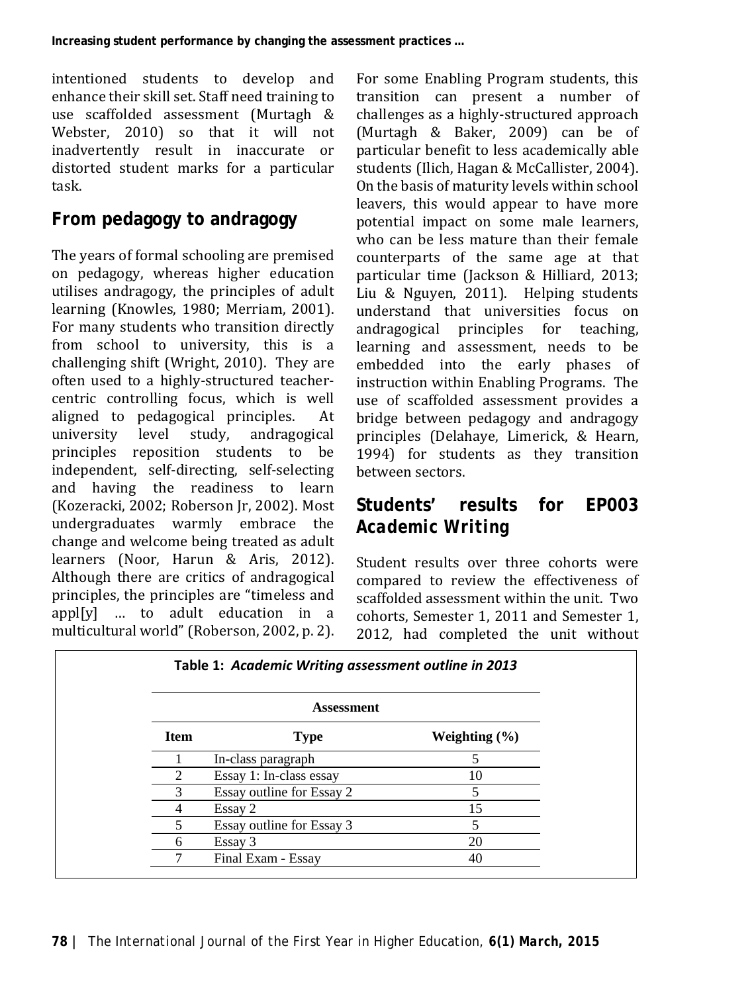intentioned students to develop and enhance their skill set. Staff need training to use scaffolded assessment (Murtagh & Webster, 2010) so that it will not inadvertently result in inaccurate or distorted student marks for a particular task.

### **From pedagogy to andragogy**

The years of formal schooling are premised on pedagogy, whereas higher education utilises andragogy, the principles of adult learning (Knowles, 1980; Merriam, 2001). For many students who transition directly from school to university, this is a challenging shift (Wright, 2010). They are often used to a highly-structured teachercentric controlling focus, which is well aligned to pedagogical principles. At level study, principles reposition students to be independent, self-directing, self-selecting and having the readiness to learn (Kozeracki, 2002; Roberson Jr, 2002). Most undergraduates warmly embrace the change and welcome being treated as adult learners (Noor, Harun & Aris, 2012). Although there are critics of andragogical principles, the principles are "timeless and appl[y] … to adult education in a multicultural world" (Roberson, 2002, p. 2).

For some Enabling Program students, this transition can present a number of challenges as a highly-structured approach (Murtagh & Baker, 2009) can be of particular benefit to less academically able students (Ilich, Hagan & McCallister, 2004). On the basis of maturity levels within school leavers, this would appear to have more potential impact on some male learners, who can be less mature than their female counterparts of the same age at that particular time (Jackson & Hilliard, 2013; Liu & Nguyen, 2011). Helping students understand that universities focus on andragogical principles for teaching, learning and assessment, needs to be embedded into the early phases of instruction within Enabling Programs. The use of scaffolded assessment provides a bridge between pedagogy and andragogy principles (Delahaye, Limerick, & Hearn, 1994) for students as they transition between sectors.

# **Students' results for EP003**  *Academic Writing*

Student results over three cohorts were compared to review the effectiveness of scaffolded assessment within the unit. Two cohorts, Semester 1, 2011 and Semester 1, 2012, had completed the unit without

| <b>Assessment</b>           |                           |                   |  |  |
|-----------------------------|---------------------------|-------------------|--|--|
| <b>Item</b>                 | <b>Type</b>               | Weighting $(\% )$ |  |  |
|                             | In-class paragraph        |                   |  |  |
| $\mathcal{D}_{\mathcal{L}}$ | Essay 1: In-class essay   | 10                |  |  |
| 3                           | Essay outline for Essay 2 |                   |  |  |
|                             | Essay 2                   | 15                |  |  |
| 5                           | Essay outline for Essay 3 |                   |  |  |
| 6                           | Essay 3                   | 20                |  |  |
|                             | Final Exam - Essay        | 40                |  |  |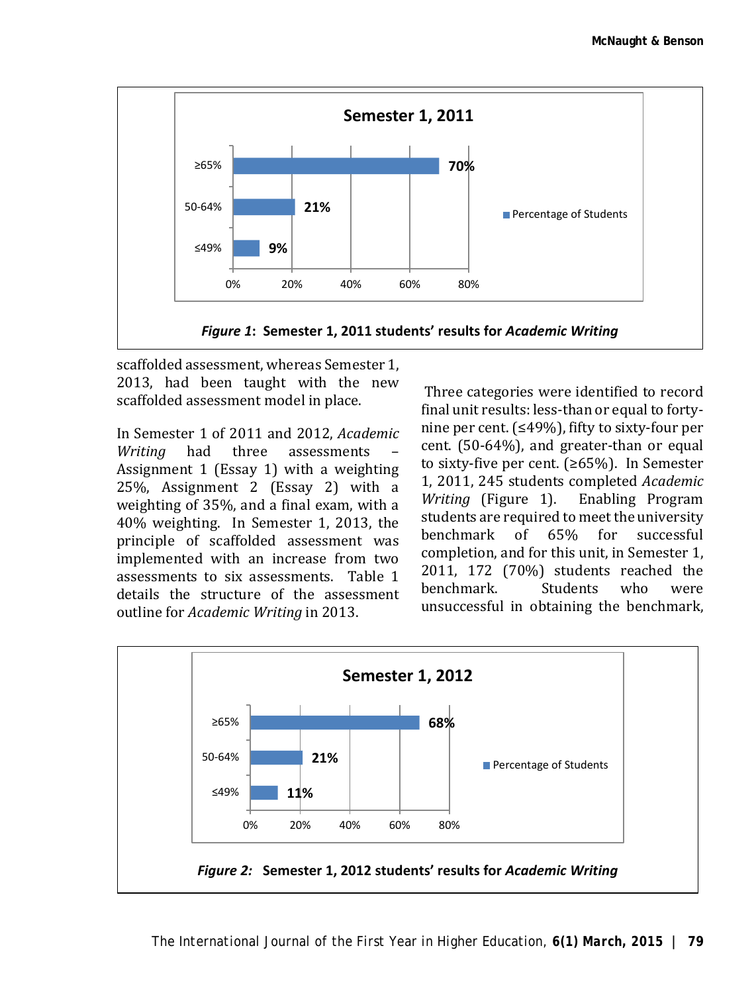

scaffolded assessment, whereas Semester 1, 2013, had been taught with the new scaffolded assessment model in place.

In Semester 1 of 2011 and 2012, *Academic*  assessments Assignment 1 (Essay 1) with a weighting 25%, Assignment 2 (Essay 2) with a weighting of 35%, and a final exam, with a 40% weighting. In Semester 1, 2013, the principle of scaffolded assessment was implemented with an increase from two assessments to six assessments. Table 1 details the structure of the assessment outline for *Academic Writing* in 2013.

Three categories were identified to record final unit results: less-than or equal to fortynine per cent. (≤49%), fifty to sixty-four per cent. (50-64%), and greater-than or equal to sixty-five per cent. (≥65%). In Semester 1, 2011, 245 students completed *Academic Writing* (Figure 1). students are required to meet the university<br>benchmark of 65% for successful benchmark of 65% for successful completion, and for this unit, in Semester 1, 2011, 172 (70%) students reached the<br>benchmark. Students who were benchmark. unsuccessful in obtaining the benchmark,

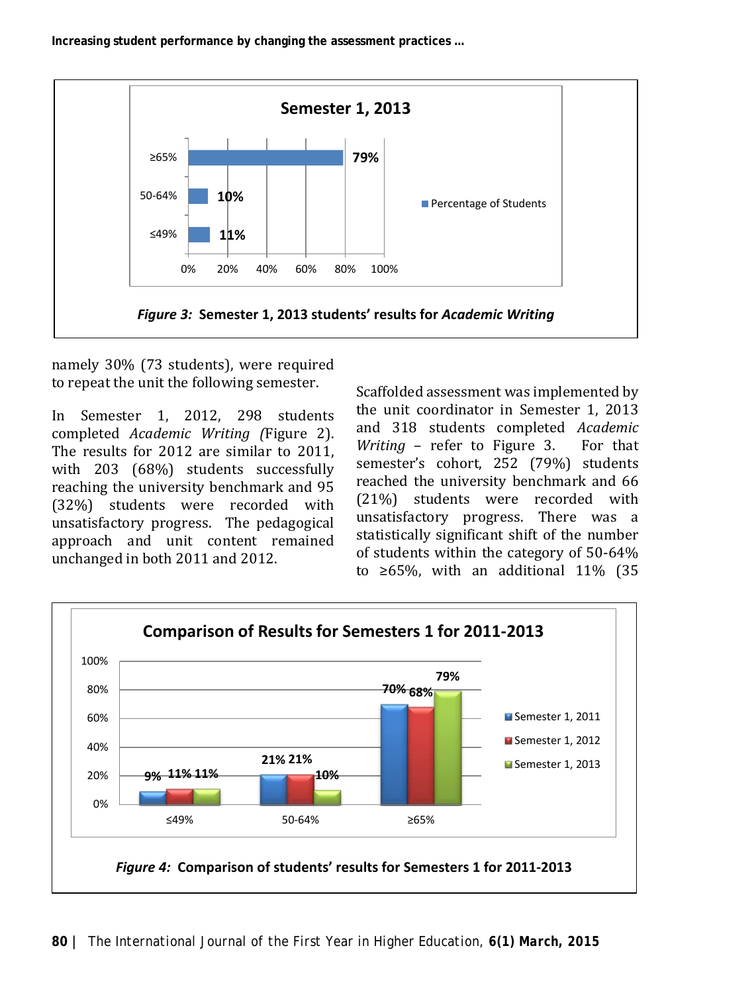**Increasing student performance by changing the assessment practices …**



namely 30% (73 students), were required to repeat the unit the following semester.

In Semester 1, 2012, 298 students completed *Academic Writing (*Figure 2). The results for 2012 are similar to 2011, with 203 (68%) students successfully reaching the university benchmark and 95 (32%) students were recorded with unsatisfactory progress. The pedagogical approach and unit content remained unchanged in both 2011 and 2012.

Scaffolded assessment was implemented by the unit coordinator in Semester 1, 2013 and 318 students completed *Academic Writing - refer to Figure 3.* semester's cohort, 252 (79%) students reached the university benchmark and 66 (21%) students were recorded with unsatisfactory progress. There was a statistically significant shift of the number of students within the category of 50-64% to ≥65%, with an additional 11% (35

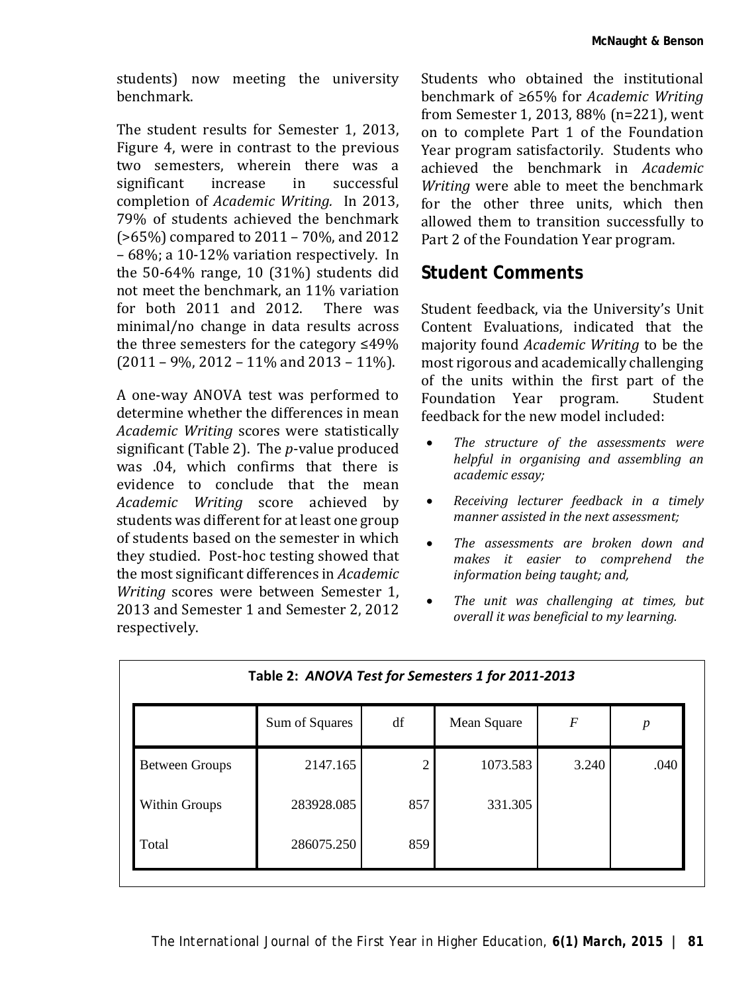students) now meeting the university benchmark.

The student results for Semester 1, 2013, Figure 4, were in contrast to the previous two semesters, wherein there was a<br>significant increase in successful significant completion of *Academic Writing.* In 2013, 79% of students achieved the benchmark (>65%) compared to 2011 – 70%, and 2012 – 68%; a 10-12% variation respectively. In the 50-64% range, 10 (31%) students did not meet the benchmark, an 11% variation<br>for both 2011 and 2012. There was for both  $2011$  and  $2012$ . minimal/no change in data results across the three semesters for the category ≤49%  $(2011 - 9\%, 2012 - 11\% \text{ and } 2013 - 11\%).$ 

A one-way ANOVA test was performed to determine whether the differences in mean *Academic Writing* scores were statistically significant (Table 2). The *p*-value produced was .04, which confirms that there is evidence to conclude that the mean *Academic Writing* score achieved by students was different for at least one group of students based on the semester in which they studied. Post-hoc testing showed that the most significant differences in *Academic Writing* scores were between Semester 1, 2013 and Semester 1 and Semester 2, 2012 respectively.

Students who obtained the institutional benchmark of ≥65% for *Academic Writing* from Semester 1, 2013, 88% (n=221), went on to complete Part 1 of the Foundation Year program satisfactorily. Students who achieved the benchmark in *Academic Writing* were able to meet the benchmark for the other three units, which then allowed them to transition successfully to Part 2 of the Foundation Year program.

#### **Student Comments**

Student feedback, via the University's Unit Content Evaluations, indicated that the majority found *Academic Writing* to be the most rigorous and academically challenging of the units within the first part of the<br>Foundation Year program. Student Foundation Year program. feedback for the new model included:

- *The structure of the assessments were helpful in organising and assembling an academic essay;*
- *Receiving lecturer feedback in a timely manner assisted in the next assessment;*
- *The assessments are broken down and makes it easier to comprehend the information being taught; and,*
- *The unit was challenging at times, but overall it was beneficial to my learning.*

| Table 2: ANOVA Test for Semesters 1 for 2011-2013 |                |                |             |       |      |  |  |  |
|---------------------------------------------------|----------------|----------------|-------------|-------|------|--|--|--|
|                                                   | Sum of Squares | df             | Mean Square | F     | p    |  |  |  |
| <b>Between Groups</b>                             | 2147.165       | $\mathfrak{D}$ | 1073.583    | 3.240 | .040 |  |  |  |
| Within Groups                                     | 283928.085     | 857            | 331.305     |       |      |  |  |  |
| Total                                             | 286075.250     | 859            |             |       |      |  |  |  |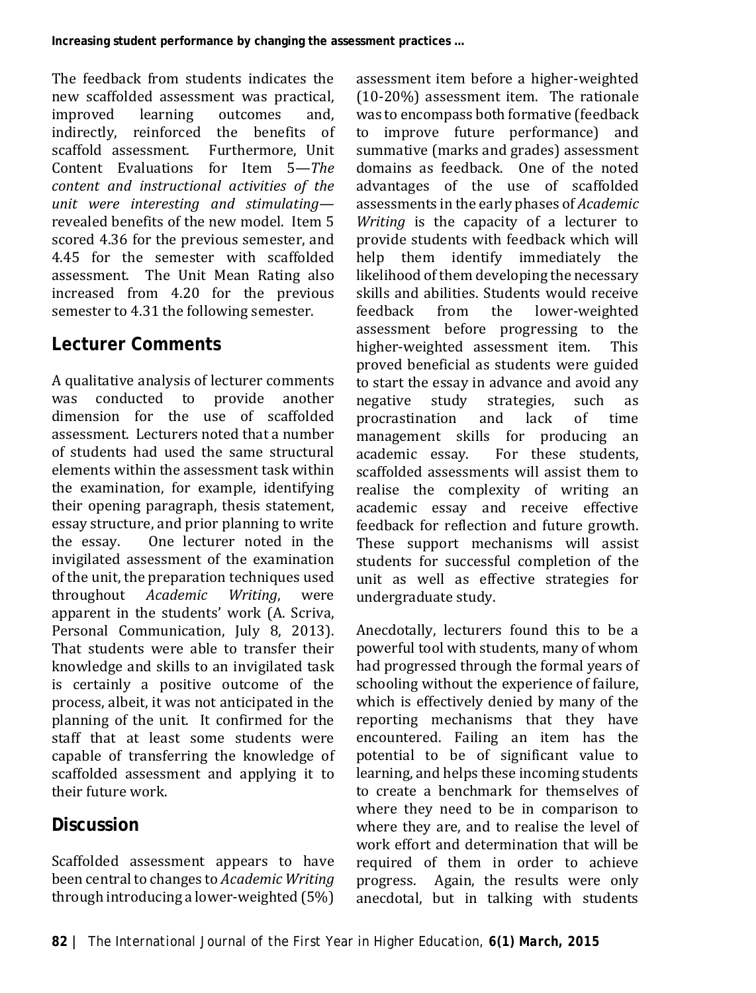The feedback from students indicates the new scaffolded assessment was practical,<br>improved learning outcomes and. outcomes indirectly, reinforced the benefits of scaffold assessment. Content Evaluations for Item 5—*The content and instructional activities of the unit were interesting and stimulating* revealed benefits of the new model. Item 5 scored 4.36 for the previous semester, and 4.45 for the semester with scaffolded assessment. The Unit Mean Rating also increased from 4.20 for the previous semester to 4.31 the following semester.

#### **Lecturer Comments**

A qualitative analysis of lecturer comments<br>was conducted to provide another conducted to provide dimension for the use of scaffolded assessment. Lecturers noted that a number of students had used the same structural elements within the assessment task within the examination, for example, identifying their opening paragraph, thesis statement, essay structure, and prior planning to write<br>the essay. One lecturer noted in the One lecturer noted in the invigilated assessment of the examination of the unit, the preparation techniques used<br>throughout *Academic Writing*. were throughout *Academic* apparent in the students' work (A. Scriva, Personal Communication, July 8, 2013). That students were able to transfer their knowledge and skills to an invigilated task is certainly a positive outcome of the process, albeit, it was not anticipated in the planning of the unit. It confirmed for the staff that at least some students were capable of transferring the knowledge of scaffolded assessment and applying it to their future work.

# **Discussion**

Scaffolded assessment appears to have been central to changes to *Academic Writing* through introducing a lower-weighted (5%) assessment item before a higher-weighted (10-20%) assessment item. The rationale was to encompass both formative (feedback<br>to improve future performance) and improve future performance) and summative (marks and grades) assessment domains as feedback. One of the noted advantages of the use of scaffolded assessments in the early phases of *Academic Writing* is the capacity of a lecturer to provide students with feedback which will help them identify immediately the likelihood of them developing the necessary skills and abilities. Students would receive<br>feedback from the lower-weighted lower-weighted assessment before progressing to the higher-weighted assessment item. This proved beneficial as students were guided to start the essay in advance and avoid any<br>negative study strategies, such as strategies, such as<br>and lack of time procrastination management skills for producing an<br>academic essay. For these students, For these students, scaffolded assessments will assist them to realise the complexity of writing an academic essay and receive effective feedback for reflection and future growth. These support mechanisms will assist students for successful completion of the unit as well as effective strategies for undergraduate study.

Anecdotally, lecturers found this to be a powerful tool with students, many of whom had progressed through the formal years of schooling without the experience of failure, which is effectively denied by many of the reporting mechanisms that they have encountered. Failing an item has the potential to be of significant value to learning, and helps these incoming students to create a benchmark for themselves of where they need to be in comparison to where they are, and to realise the level of work effort and determination that will be required of them in order to achieve progress. Again, the results were only anecdotal, but in talking with students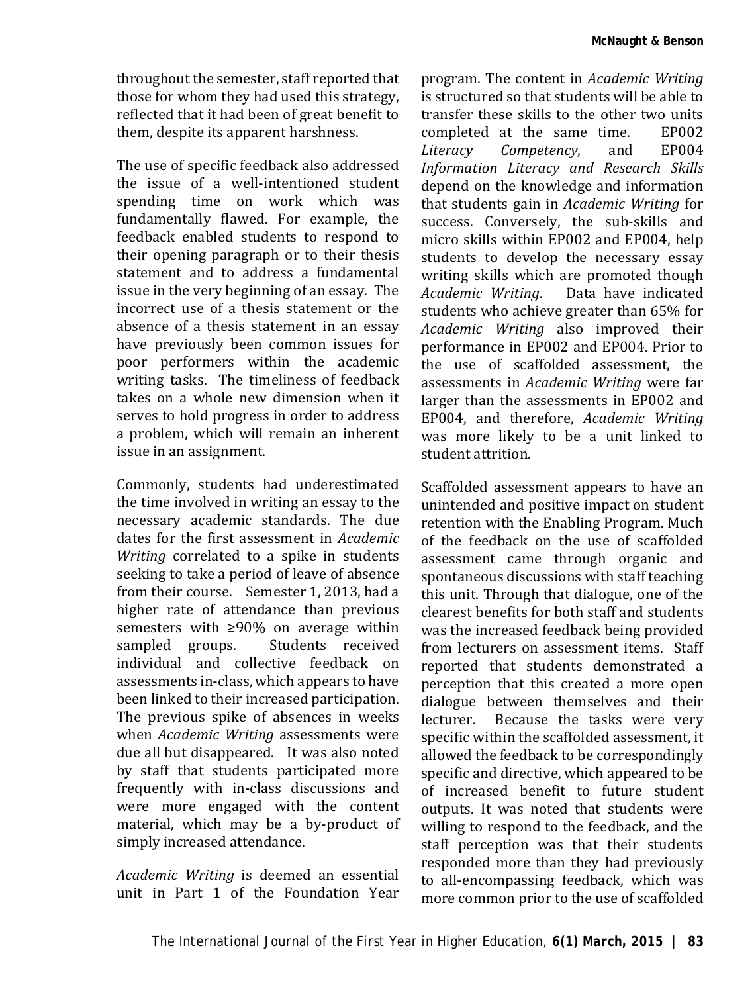throughout the semester, staff reported that those for whom they had used this strategy, reflected that it had been of great benefit to them, despite its apparent harshness.

The use of specific feedback also addressed the issue of a well-intentioned student spending time on work which was fundamentally flawed. For example, the feedback enabled students to respond to their opening paragraph or to their thesis statement and to address a fundamental issue in the very beginning of an essay. The incorrect use of a thesis statement or the absence of a thesis statement in an essay have previously been common issues for poor performers within the academic writing tasks. The timeliness of feedback takes on a whole new dimension when it serves to hold progress in order to address a problem, which will remain an inherent issue in an assignment.

Commonly, students had underestimated the time involved in writing an essay to the necessary academic standards. The due dates for the first assessment in *Academic Writing* correlated to a spike in students seeking to take a period of leave of absence from their course. Semester 1, 2013, had a higher rate of attendance than previous semesters with ≥90% on average within<br>sampled groups. Students received sampled groups. individual and collective feedback on assessments in-class, which appears to have been linked to their increased participation. The previous spike of absences in weeks when *Academic Writing* assessments were due all but disappeared. It was also noted by staff that students participated more frequently with in-class discussions and were more engaged with the content material, which may be a by-product of simply increased attendance.

*Academic Writing* is deemed an essential unit in Part 1 of the Foundation Year

program. The content in *Academic Writing* is structured so that students will be able to transfer these skills to the other two units<br>completed at the same time FP002 completed at the same time. EP002<br>Literacy Competency, and EP004  $Competency$ , *Information Literacy and Research Skills* depend on the knowledge and information that students gain in *Academic Writing* for success. Conversely, the sub-skills and micro skills within EP002 and EP004, help students to develop the necessary essay writing skills which are promoted though<br>Academic Writina. Data have indicated Data have indicated students who achieve greater than 65% for *Academic Writing* also improved their performance in EP002 and EP004. Prior to the use of scaffolded assessment, the assessments in *Academic Writing* were far larger than the assessments in EP002 and EP004, and therefore, *Academic Writing* was more likely to be a unit linked to student attrition.

Scaffolded assessment appears to have an unintended and positive impact on student retention with the Enabling Program. Much of the feedback on the use of scaffolded assessment came through organic and spontaneous discussions with staff teaching this unit. Through that dialogue, one of the clearest benefits for both staff and students was the increased feedback being provided from lecturers on assessment items. Staff reported that students demonstrated a perception that this created a more open dialogue between themselves and their<br>lecturer. Because the tasks were very Because the tasks were very specific within the scaffolded assessment, it allowed the feedback to be correspondingly specific and directive, which appeared to be of increased benefit to future student outputs. It was noted that students were willing to respond to the feedback, and the staff perception was that their students responded more than they had previously to all-encompassing feedback, which was more common prior to the use of scaffolded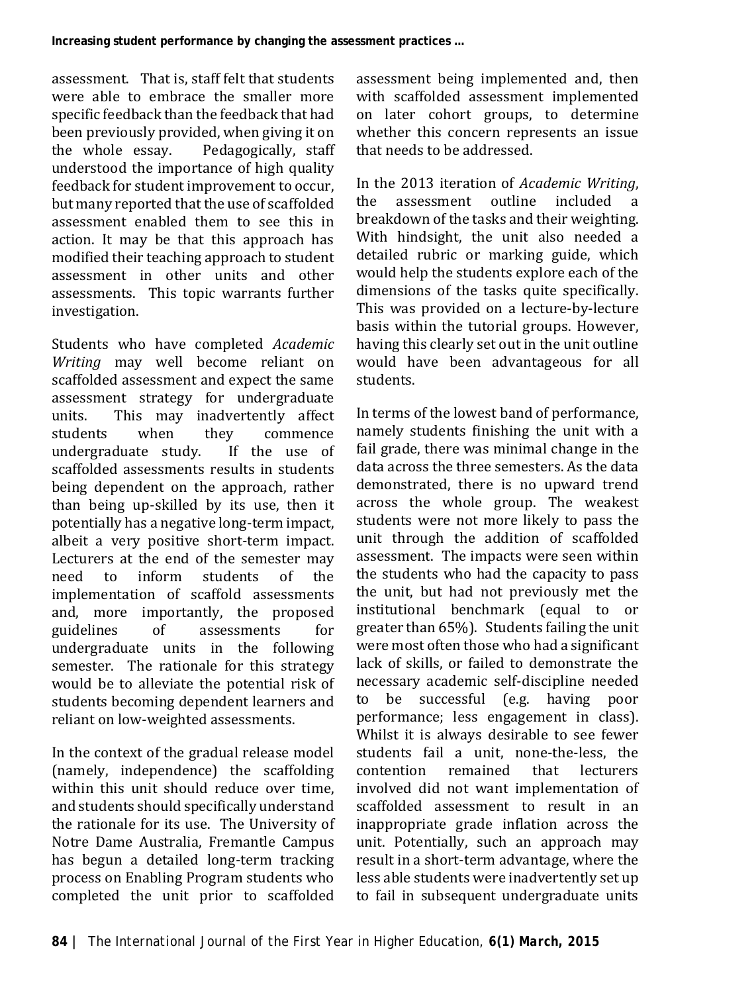**Increasing student performance by changing the assessment practices …**

assessment. That is, staff felt that students were able to embrace the smaller more specific feedback than the feedback that had been previously provided, when giving it on<br>the whole essay. Pedagogically, staff Pedagogically, staff understood the importance of high quality feedback for student improvement to occur, but many reported that the use of scaffolded assessment enabled them to see this in action. It may be that this approach has modified their teaching approach to student assessment in other units and other assessments. This topic warrants further investigation.

Students who have completed *Academic Writing* may well become reliant on scaffolded assessment and expect the same assessment strategy for undergraduate<br>units. This may inadvertently affect units. This may inadvertently affect<br>students when they commence y commence<br>If the use of undergraduate study. scaffolded assessments results in students being dependent on the approach, rather than being up-skilled by its use, then it potentially has a negative long-term impact, albeit a very positive short-term impact. Lecturers at the end of the semester may<br>need to inform students of the inform students implementation of scaffold assessments and, more importantly, the proposed<br>guidelines of assessments for guidelines of assessments for undergraduate units in the following semester. The rationale for this strategy would be to alleviate the potential risk of students becoming dependent learners and reliant on low-weighted assessments.

In the context of the gradual release model (namely, independence) the scaffolding within this unit should reduce over time, and students should specifically understand the rationale for its use. The University of Notre Dame Australia, Fremantle Campus has begun a detailed long-term tracking process on Enabling Program students who completed the unit prior to scaffolded assessment being implemented and, then with scaffolded assessment implemented on later cohort groups, to determine whether this concern represents an issue that needs to be addressed.

In the 2013 iteration of *Academic Writing*, assessment outline included breakdown of the tasks and their weighting. With hindsight, the unit also needed a detailed rubric or marking guide, which would help the students explore each of the dimensions of the tasks quite specifically. This was provided on a lecture-by-lecture basis within the tutorial groups. However, having this clearly set out in the unit outline would have been advantageous for all students.

In terms of the lowest band of performance, namely students finishing the unit with a fail grade, there was minimal change in the data across the three semesters. As the data demonstrated, there is no upward trend across the whole group. The weakest students were not more likely to pass the unit through the addition of scaffolded assessment. The impacts were seen within the students who had the capacity to pass the unit, but had not previously met the institutional benchmark (equal to or greater than 65%). Students failing the unit were most often those who had a significant lack of skills, or failed to demonstrate the necessary academic self-discipline needed<br>to be successful (e.g. having noor be successful (e.g. having poor performance; less engagement in class). Whilst it is always desirable to see fewer students fail a unit, none-the-less, the<br>contention remained that lecturers remained involved did not want implementation of scaffolded assessment to result in an inappropriate grade inflation across the unit. Potentially, such an approach may result in a short-term advantage, where the less able students were inadvertently set up to fail in subsequent undergraduate units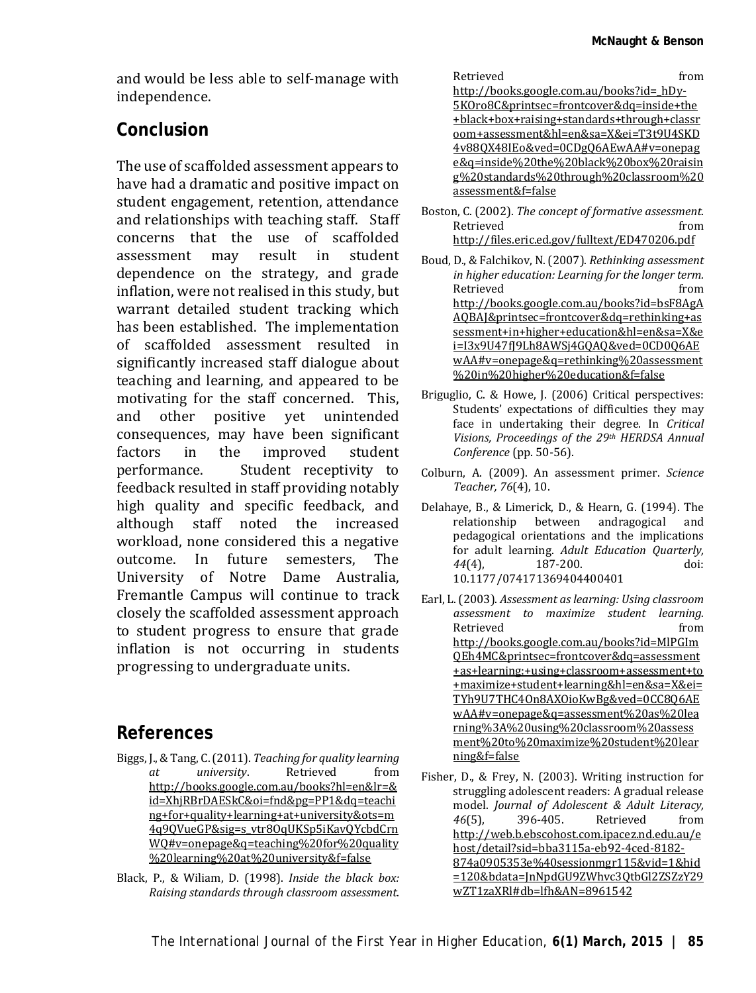and would be less able to self-manage with independence.

#### **Conclusion**

The use of scaffolded assessment appears to have had a dramatic and positive impact on student engagement, retention, attendance and relationships with teaching staff. Staff concerns that the use of scaffolded<br>assessment may result in student may result in dependence on the strategy, and grade inflation, were not realised in this study, but warrant detailed student tracking which has been established. The implementation of scaffolded assessment resulted in significantly increased staff dialogue about teaching and learning, and appeared to be motivating for the staff concerned. This, and other positive yet unintended consequences, may have been significant<br>factors in the improved student factors in the improved<br>performance. Student rece Student receptivity to feedback resulted in staff providing notably high quality and specific feedback, and although staff noted the increased workload, none considered this a negative<br>outcome. In future semesters. The outcome In University of Notre Dame Australia, Fremantle Campus will continue to track closely the scaffolded assessment approach to student progress to ensure that grade inflation is not occurring in students progressing to undergraduate units.

#### **References**

- Biggs, J., & Tang, C. (2011). *Teaching for quality learning at university*. Retrieved from http://books.google.com.au/books?hl=en&lr=& id=XhjRBrDAESkC&oi=fnd&pg=PP1&dq=teachi ng+for+quality+learning+at+university&ots=m 4q9QVueGP&sig=s\_vtr8OqUKSp5iKavQYcbdCrn WQ#v=onepage&q=teaching%20for%20quality %20learning%20at%20university&f=false
- Black, P., & Wiliam, D. (1998). *Inside the black box: Raising standards through classroom assessment*.

| Retrieved                                   | trom |
|---------------------------------------------|------|
| http://books.google.com.au/books?id= hDy-   |      |
| 5KOro8C&printsec=frontcover&dq=inside+the   |      |
| +black+box+raising+standards+through+classr |      |
| oom+assessment&hl=en&sa=X&ei=T3t9U4SKD      |      |
| 4v880X48IEo&ved=0CDg06AEwAA#v=onepag        |      |
| e&q=inside%20the%20black%20box%20raisin     |      |
| g%20standards%20through%20classroom%20      |      |
| assessment&f=false                          |      |
|                                             |      |

Boston, C. (2002). *The concept of formative assessment*. Retrieved from http://files.eric.ed.gov/fulltext/ED470206.pdf

Boud, D., & Falchikov, N. (2007). *Rethinking assessment in higher education: Learning for the longer term.* Retrieved from http://books.google.com.au/books?id=bsF8AgA AQBAJ&printsec=frontcover&dq=rethinking+as sessment+in+higher+education&hl=en&sa=X&e i=I3x9U47fJ9Lh8AWSj4GQAQ&ved=0CD0Q6AE wAA#v=onepage&q=rethinking%20assessment %20in%20higher%20education&f=false

- Briguglio, C. & Howe, J. (2006) Critical perspectives: Students' expectations of difficulties they may face in undertaking their degree. In *Critical Visions, Proceedings of the 29th HERDSA Annual Conference* (pp. 50-56).
- Colburn, A. (2009). An assessment primer. *Science Teacher, 76*(4), 10.
- Delahaye, B., & Limerick, D., & Hearn, G. (1994). The relationship between andragogical and pedagogical orientations and the implications for adult learning. *Adult Education Quarterly,*   $187 - 200.$ 10.1177/074171369404400401
- Earl, L. (2003). *Assessment as learning: Using classroom assessment to maximize student learning.* Retrieved from from http://books.google.com.au/books?id=MlPGIm QEh4MC&printsec=frontcover&dq=assessment +as+learning:+using+classroom+assessment+to +maximize+student+learning&hl=en&sa=X&ei= TYh9U7THC4On8AXOioKwBg&ved=0CC8Q6AE wAA#v=onepage&q=assessment%20as%20lea rning%3A%20using%20classroom%20assess ment%20to%20maximize%20student%20lear ning&f=false
- Fisher, D., & Frey, N. (2003). Writing instruction for struggling adolescent readers: A gradual release model. *Journal of Adolescent & Adult Literacy, 46*(5), 396-405. Retrieved from http://web.b.ebscohost.com.ipacez.nd.edu.au/e host/detail?sid=bba3115a-eb92-4ced-8182- 874a0905353e%40sessionmgr115&vid=1&hid =120&bdata=JnNpdGU9ZWhvc3QtbGl2ZSZzY29 wZT1zaXRl#db=lfh&AN=8961542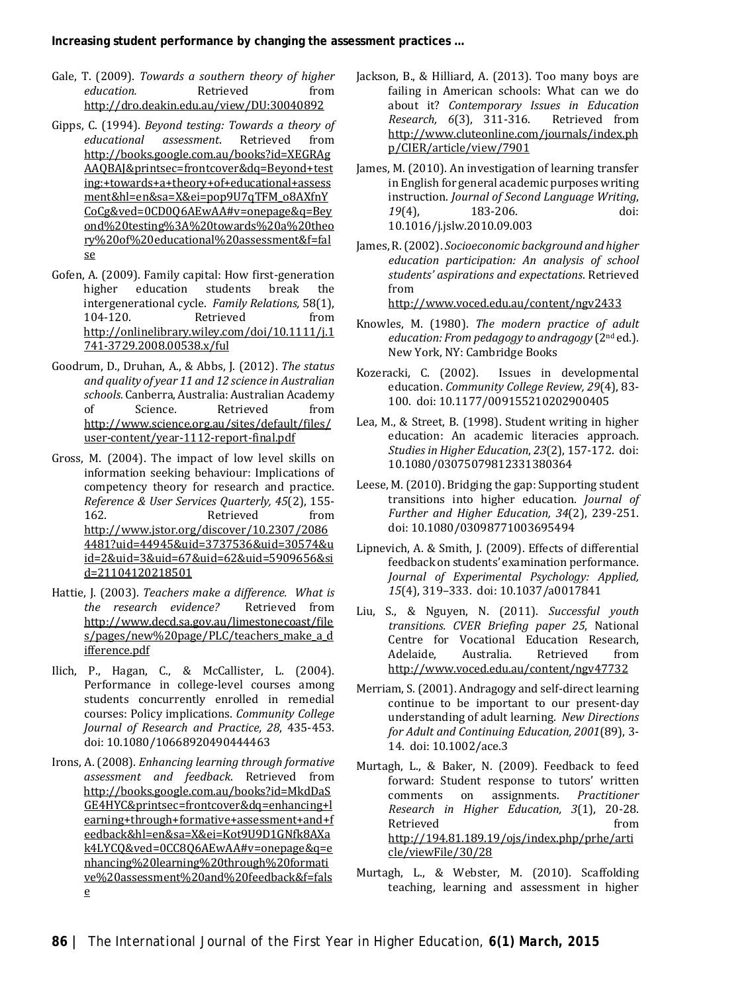- Gale, T. (2009). *Towards a southern theory of higher education.* http://dro.deakin.edu.au/view/DU:30040892
- Gipps, C. (1994). *Beyond testing: Towards a theory of educational assessment.* http://books.google.com.au/books?id=XEGRAg AAQBAJ&printsec=frontcover&dq=Beyond+test ing:+towards+a+theory+of+educational+assess ment&hl=en&sa=X&ei=pop9U7qTFM\_o8AXfnY CoCg&ved=0CD0Q6AEwAA#v=onepage&q=Bey ond%20testing%3A%20towards%20a%20theo ry%20of%20educational%20assessment&f=fal se
- Gofen, A. (2009). Family capital: How first-generation<br>higher education students break the higher education students break intergenerational cycle. *Family Relations,* 58(1), 104-120. Retrieved from http://onlinelibrary.wiley.com/doi/10.1111/j.1 741-3729.2008.00538.x/ful
- Goodrum, D., Druhan, A., & Abbs, J. (2012). *The status and quality of year 11 and 12 science in Australian schools.* Canberra, Australia: Australian Academy of Science. Retrieved from http://www.science.org.au/sites/default/files/ user-content/year-1112-report-final.pdf
- Gross, M. (2004). The impact of low level skills on information seeking behaviour: Implications of competency theory for research and practice. *Reference & User Services Quarterly, 45*(2), 155- 162. Retrieved from http://www.jstor.org/discover/10.2307/2086 4481?uid=44945&uid=3737536&uid=30574&u id=2&uid=3&uid=67&uid=62&uid=5909656&si d=21104120218501
- Hattie, J. (2003). *Teachers make a difference. What is*  the research evidence? http://www.decd.sa.gov.au/limestonecoast/file s/pages/new%20page/PLC/teachers make a d ifference.pdf
- Ilich, P., Hagan, C., & McCallister, L. (2004). Performance in college-level courses among students concurrently enrolled in remedial courses: Policy implications. *Community College Journal of Research and Practice, 28*, 435-453. doi: 10.1080/10668920490444463
- Irons, A. (2008). *Enhancing learning through formative assessment and feedback*. Retrieved from http://books.google.com.au/books?id=MkdDaS GE4HYC&printsec=frontcover&dq=enhancing+l earning+through+formative+assessment+and+f eedback&hl=en&sa=X&ei=Kot9U9D1GNfk8AXa k4LYCQ&ved=0CC8Q6AEwAA#v=onepage&q=e nhancing%20learning%20through%20formati ve%20assessment%20and%20feedback&f=fals e
- Jackson, B., & Hilliard, A. (2013). Too many boys are failing in American schools: What can we do about it? *Contemporary Issues in Education Research, 6*(3), 311-316. http://www.cluteonline.com/journals/index.ph p/CIER/article/view/7901
- James, M. (2010). An investigation of learning transfer in English for general academic purposes writing instruction. *Journal of Second Language Writing*, 183-206. 10.1016/j.jslw.2010.09.003
- James, R. (2002). *Socioeconomic background and higher education participation: An analysis of school students' aspirations and expectations*. Retrieved from

http://www.voced.edu.au/content/ngv2433

- Knowles, M. (1980). *The modern practice of adult education: From pedagogy to andragogy* (2nd ed.). New York, NY: Cambridge Books
- Kozeracki, C. (2002). Issues in developmental education. *Community College Review, 29*(4), 83- 100. doi: 10.1177/009155210202900405
- Lea, M., & Street, B. (1998). Student writing in higher education: An academic literacies approach. *Studies in Higher Education*, *23*(2), 157-172. doi: 10.1080/03075079812331380364
- Leese, M. (2010). Bridging the gap: Supporting student transitions into higher education. *Journal of Further and Higher Education, 34*(2), 239-251. doi: 10.1080/03098771003695494
- Lipnevich, A. & Smith, J. (2009). Effects of differential feedback on students' examination performance. *Journal of Experimental Psychology: Applied, 15*(4), 319–333. doi: 10.1037/a0017841
- Liu, S., & Nguyen, N. (2011). *Successful youth transitions. CVER Briefing paper 25*, National Centre for Vocational Education Research, Adelaide, Australia. Retrieved from http://www.voced.edu.au/content/ngv47732
- Merriam, S. (2001). Andragogy and self-direct learning continue to be important to our present-day understanding of adult learning. *New Directions for Adult and Continuing Education, 2001*(89), 3- 14. doi: 10.1002/ace.3
- Murtagh, L., & Baker, N. (2009). Feedback to feed forward: Student response to tutors' written<br>comments on assignments. *Practitioner* assignments. *Research in Higher Education, 3*(1), 20-28. Retrieved from http://194.81.189.19/ojs/index.php/prhe/arti cle/viewFile/30/28
- Murtagh, L., & Webster, M. (2010). Scaffolding teaching, learning and assessment in higher